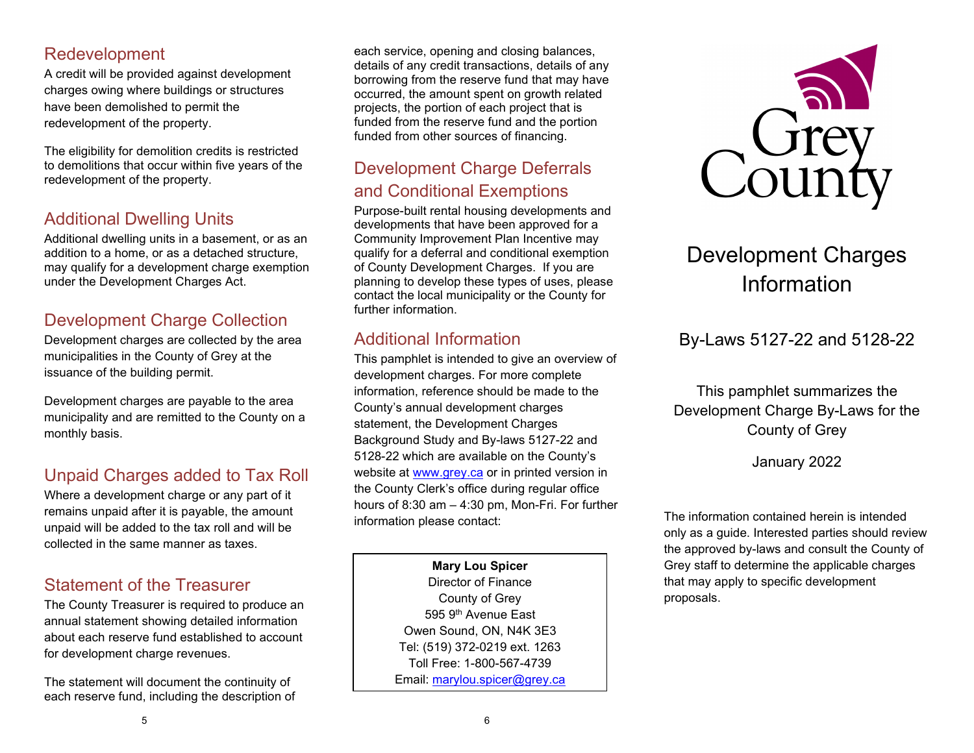#### Redevelopment

A credit will be provided against development charges owing where buildings or structures have been demolished to permit the redevelopment of the property.

The eligibility for demolition credits is restricted to demolitions that occur within five years of the redevelopment of the property.

## Additional Dwelling Units

Additional dwelling units in a basement, or as an addition to a home, or as a detached structure, may qualify for a development charge exemption under the Development Charges Act.

## Development Charge Collection

Development charges are collected by the area municipalities in the County of Grey at the issuance of the building permit.

Development charges are payable to the area municipality and are remitted to the County on a monthly basis.

# Unpaid Charges added to Tax Roll

Where a development charge or any part of it remains unpaid after it is payable, the amount unpaid will be added to the tax roll and will be collected in the same manner as taxes.

#### Statement of the Treasurer

The County Treasurer is required to produce an annual statement showing detailed information about each reserve fund established to account for development charge revenues.

The statement will document the continuity of each reserve fund, including the description of

each service, opening and closing balances, details of any credit transactions, details of any borrowing from the reserve fund that may have occurred, the amount spent on growth related projects, the portion of each project that is funded from the reserve fund and the portion funded from other sources of financing.

#### Development Charge Deferrals and Conditional Exemptions

Purpose-built rental housing developments and developments that have been approved for a Community Improvement Plan Incentive may qualify for a deferral and conditional exemption of County Development Charges. If you are planning to develop these types of uses, please contact the local municipality or the County for further information.

## Additional Information

This pamphlet is intended to give an overview of development charges. For more complete information, reference should be made to the County's annual development charges statement, the Development Charges Background Study and By-laws 5127-22 and 5128-22 which are available on the County's website at [www.grey.ca](http://www.grey.ca/) or in printed version in the County Clerk's office during regular office hours of 8:30 am – 4:30 pm, Mon-Fri. For further information please contact:

> **Mary Lou Spicer** Director of Finance County of Grey 595 9th Avenue East Owen Sound, ON, N4K 3E3 Tel: (519) 372-0219 ext. 1263 Toll Free: 1-800-567-4739 Email: [marylou.spicer@grey.ca](mailto:marylou.spicer@grey.ca)



# Development Charges Information

# By-Laws 5127-22 and 5128-22

This pamphlet summarizes the Development Charge By-Laws for the County of Grey

January 2022

The information contained herein is intended only as a guide. Interested parties should review the approved by-laws and consult the County of Grey staff to determine the applicable charges that may apply to specific development proposals.